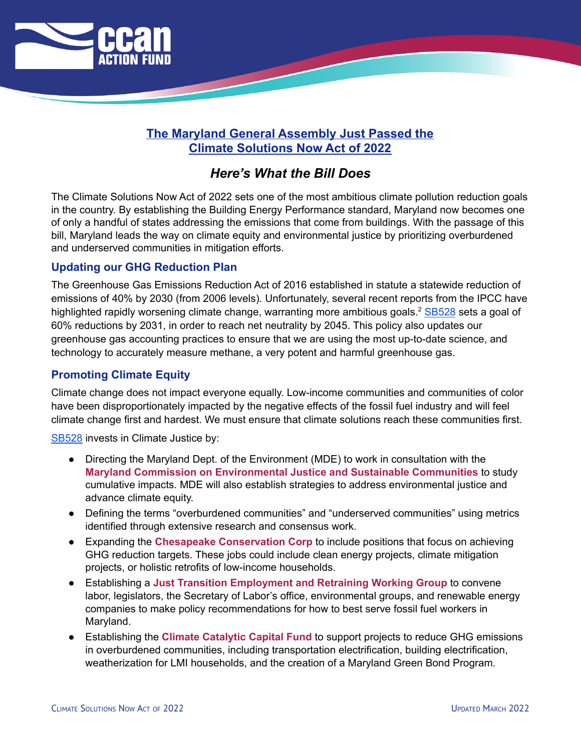

# **The Maryland General Assembly Just Passed the Climate Solutions Now Act of 2022**

# *Here's What the Bill Does*

The Climate Solutions Now Act of 2022 sets one of the most ambitious climate pollution reduction goals in the country. By establishing the Building Energy Performance standard, Maryland now becomes one of only a handful of states addressing the emissions that come from buildings. With the passage of this bill, Maryland leads the way on climate equity and environmental justice by prioritizing overburdened and underserved communities in mitigation efforts.

# **Updating our GHG Reduction Plan**

The Greenhouse Gas Emissions Reduction Act of 2016 established in statute a statewide reduction of emissions of 40% by 2030 (from 2006 levels). Unfortunately, several recent reports from the IPCC have highlighted rapidly worsening climate change, warranting more ambitious goals.<sup>2</sup> [SB528](https://mgaleg.maryland.gov/mgawebsite/Legislation/Details/SB0528) sets a goal of 60% reductions by 2031, in order to reach net neutrality by 2045. This policy also updates our greenhouse gas accounting practices to ensure that we are using the most up-to-date science, and technology to accurately measure methane, a very potent and harmful greenhouse gas.

#### **Promoting Climate Equity**

Climate change does not impact everyone equally. Low-income communities and communities of color have been disproportionately impacted by the negative effects of the fossil fuel industry and will feel climate change first and hardest. We must ensure that climate solutions reach these communities first.

[SB528](https://mgaleg.maryland.gov/mgawebsite/Legislation/Details/SB0528) invests in Climate Justice by:

- Directing the Maryland Dept. of the Environment (MDE) to work in consultation with the **Maryland Commission on Environmental Justice and Sustainable Communities** to study cumulative impacts. MDE will also establish strategies to address environmental justice and advance climate equity.
- Defining the terms "overburdened communities" and "underserved communities" using metrics identified through extensive research and consensus work.
- Expanding the **Chesapeake Conservation Corp** to include positions that focus on achieving GHG reduction targets. These jobs could include clean energy projects, climate mitigation projects, or holistic retrofits of low-income households.
- Establishing a **Just Transition Employment and Retraining Working Group** to convene labor, legislators, the Secretary of Labor's office, environmental groups, and renewable energy companies to make policy recommendations for how to best serve fossil fuel workers in Maryland.
- Establishing the **Climate Catalytic Capital Fund** to support projects to reduce GHG emissions in overburdened communities, including transportation electrification, building electrification, weatherization for LMI households, and the creation of a Maryland Green Bond Program.